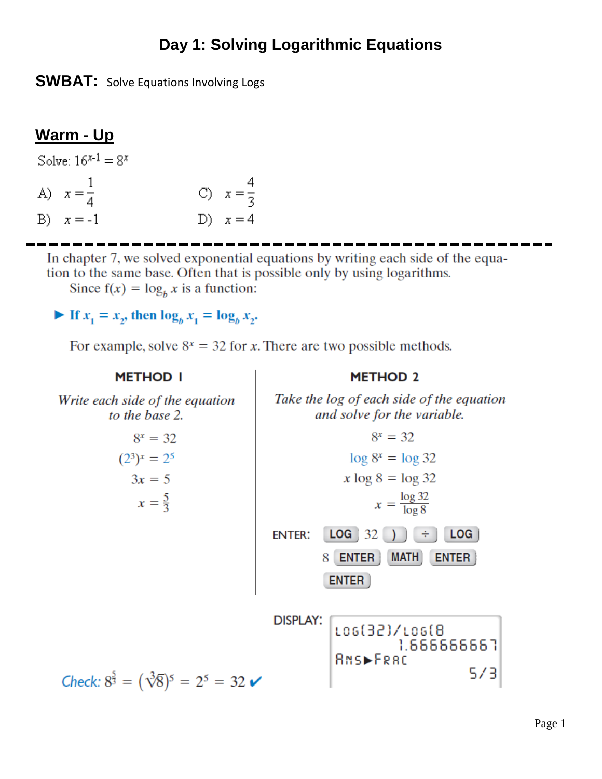# **Day 1: Solving Logarithmic Equations**

**SWBAT:** Solve Equations Involving Logs

# **Warm - Up**

| Solve: $16^{x-1} = 8^x$ |                      |  |                      |  |  |
|-------------------------|----------------------|--|----------------------|--|--|
|                         | A) $x = \frac{1}{4}$ |  | C) $x = \frac{1}{3}$ |  |  |
|                         | B) $x = -1$          |  | D) $x=4$             |  |  |

In chapter 7, we solved exponential equations by writing each side of the equation to the same base. Often that is possible only by using logarithms. Since  $f(x) = log_b x$  is a function:

If  $x_1 = x_2$ , then  $\log_b x_1 = \log_b x_2$ .

For example, solve  $8^x = 32$  for x. There are two possible methods.

**METHOD I METHOD 2** Write each side of the equation Take the log of each side of the equation and solve for the variable. to the base 2.  $8^x = 32$  $8^x = 32$  $(2^3)^x = 2^5$  $\log 8^x = \log 32$  $3x = 5$  $x \log 8 = \log 32$  $x = \frac{\log 32}{\log 8}$  $x = \frac{5}{3}$ **ENTER:**  $LOG \mid 32$  $LOG$ 8 ENTER | MATH **ENTER ENTER DISPLAY:** Los(32)/Los(8 1.666666651 **BNS►FRBC** 573 Check:  $8^{\frac{5}{3}} = (\sqrt[3]{8})^5 = 2^5 = 32$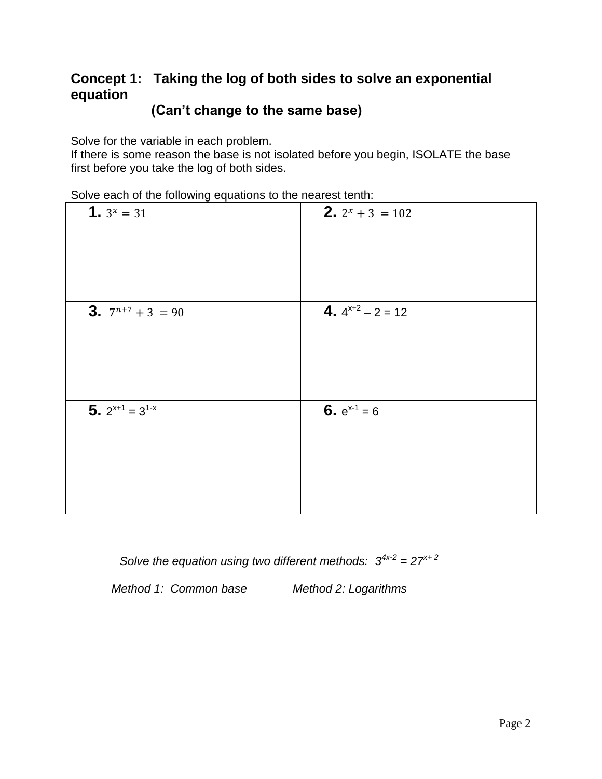## **Concept 1: Taking the log of both sides to solve an exponential equation**

### **(Can't change to the same base)**

Solve for the variable in each problem.

If there is some reason the base is not isolated before you begin, ISOLATE the base first before you take the log of both sides.

Solve each of the following equations to the nearest tenth:

| <b>1.</b> $3^x = 31$         | <b>2.</b> $2^x + 3 = 102$ |
|------------------------------|---------------------------|
| <b>3.</b> $7^{n+7} + 3 = 90$ | 4. $4^{x+2} - 2 = 12$     |
| 5. $2^{x+1} = 3^{1-x}$       | 6. $e^{x-1} = 6$          |

*Solve the equation using two different methods:*  $3^{4x-2} = 27^{x+2}$ 

| Method 1: Common base | Method 2: Logarithms |
|-----------------------|----------------------|
|                       |                      |
|                       |                      |
|                       |                      |
|                       |                      |
|                       |                      |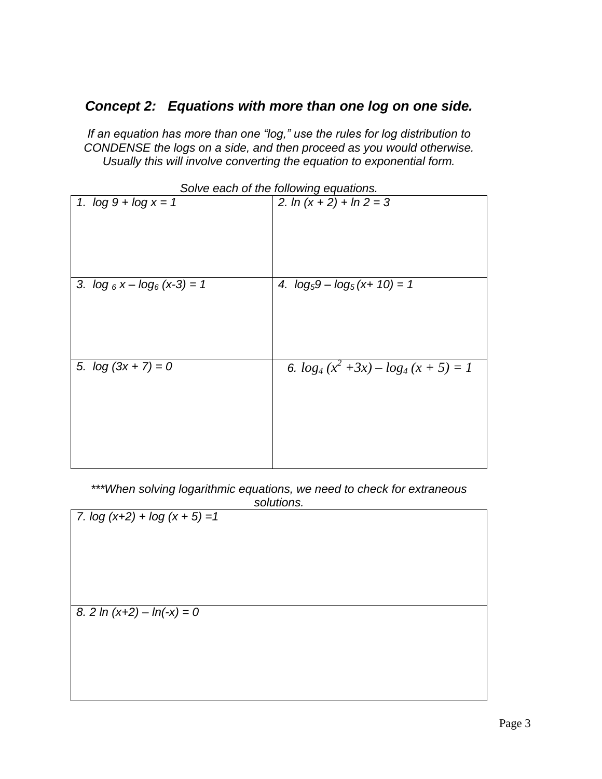#### *Concept 2: Equations with more than one log on one side.*

*If an equation has more than one "log," use the rules for log distribution to CONDENSE the logs on a side, and then proceed as you would otherwise. Usually this will involve converting the equation to exponential form.*

| <i>SUIVE GAULE UTTE TUITUMING GYUQUUTS.</i> |                                     |  |  |  |
|---------------------------------------------|-------------------------------------|--|--|--|
| 1. $log 9 + log x = 1$                      | 2. $\ln(x + 2) + \ln 2 = 3$         |  |  |  |
| 3. $\log_6 x - \log_6 (x-3) = 1$            | 4. $\log_5 9 - \log_5 (x + 10) = 1$ |  |  |  |
| 5. $log(3x + 7) = 0$                        | 6. $log_4(x^2+3x)-log_4(x+5)=1$     |  |  |  |

*Solve each of the following equations.*

*\*\*\*When solving logarithmic equations, we need to check for extraneous* 

*solutions. 7. log (x+2) + log (x + 5) =1 8. 2 ln (x+2) – ln(-x) = 0*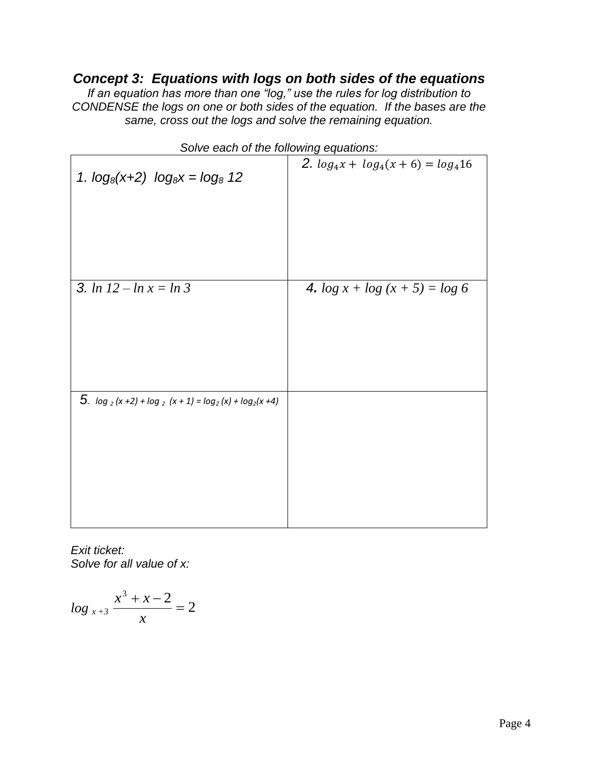### *Concept 3: Equations with logs on both sides of the equations*

*If an equation has more than one "log," use the rules for log distribution to CONDENSE the logs on one or both sides of the equation. If the bases are the same, cross out the logs and solve the remaining equation.*

| 1. $log_8(x+2)$ $log_8x = log_8 12$                      | 2. $log_4 x + log_4(x + 6) = log_4 16$ |
|----------------------------------------------------------|----------------------------------------|
| 3. $\ln 12 - \ln x = \ln 3$                              |                                        |
|                                                          | 4. $\log x + \log(x + 5) = \log 6$     |
| 5. $\log_2(x+2) + \log_2(x+1) = \log_2(x) + \log_2(x+4)$ |                                        |
|                                                          |                                        |

*Solve each of the following equations:*

*Exit ticket: Solve for all value of x:*

$$
\log_{x+3} \frac{x^3 + x - 2}{x} = 2
$$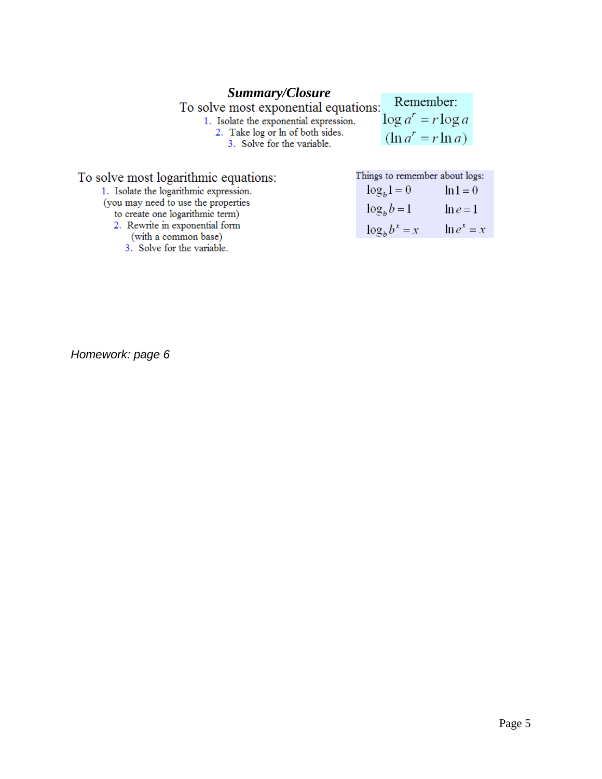**Summary/Closure**<br>To solve most exponential equations:<br>1. Isolate the exponential expression.<br>2. Take log or ln of both sides.<br>3. Solve for the variable. Remember:  $\log a^r = r \log a$ 

 $(\ln a^r = r \ln a)$ 

| To solve most logarithmic equations:                   | Things to remember about logs:      |             |
|--------------------------------------------------------|-------------------------------------|-------------|
| 1. Isolate the logarithmic expression.                 | $\log_b 1 = 0$                      | $\ln 1 = 0$ |
| (you may need to use the properties                    | $\log_b b = 1$                      | $\ln e = 1$ |
| to create one logarithmic term)                        |                                     |             |
| 2. Rewrite in exponential form<br>(with a common base) | $\log_b b^x = x \qquad \ln e^x = x$ |             |
| 3. Solve for the variable.                             |                                     |             |

*Homework: page 6*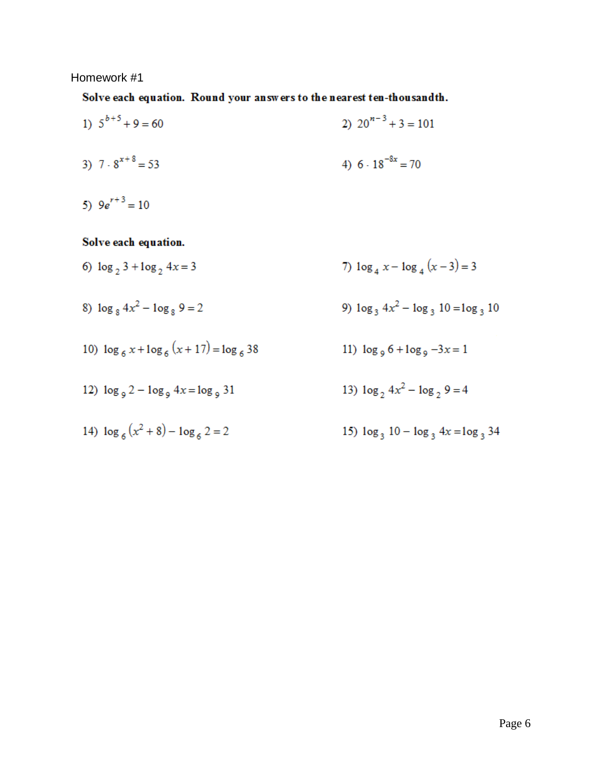#### Homework #1

Solve each equation. Round your answers to the nearest ten-thousandth.

1)  $5^{b+5} + 9 = 60$ 2)  $20^{n-3} + 3 = 101$ 4)  $6 \cdot 18^{-8x} = 70$ 3)  $7 \cdot 8^{x+8} = 53$ 

5)  $9e^{r+3} = 10$ 

Solve each equation.

- 6)  $\log_2 3 + \log_2 4x = 3$ 7)  $\log_4 x - \log_4 (x-3) = 3$
- 8)  $\log_8 4x^2 \log_8 9 = 2$ 9)  $\log_3 4x^2 - \log_3 10 = \log_3 10$
- 10)  $\log_6 x + \log_6 (x + 17) = \log_6 38$ 11)  $\log_9 6 + \log_9 -3x = 1$
- 13)  $\log_2 4x^2 \log_2 9 = 4$ 12  $\log_9 2 - \log_9 4x = \log_9 31$
- 14)  $\log_6(x^2+8) \log_6 2 = 2$ 15)  $\log_3 10 - \log_3 4x = \log_3 34$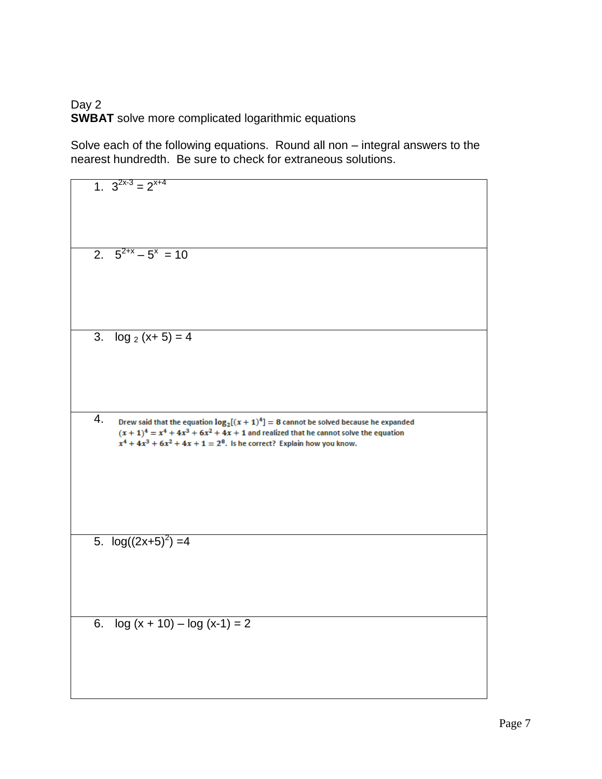#### Day 2 **SWBAT** solve more complicated logarithmic equations

Solve each of the following equations. Round all non – integral answers to the nearest hundredth. Be sure to check for extraneous solutions.

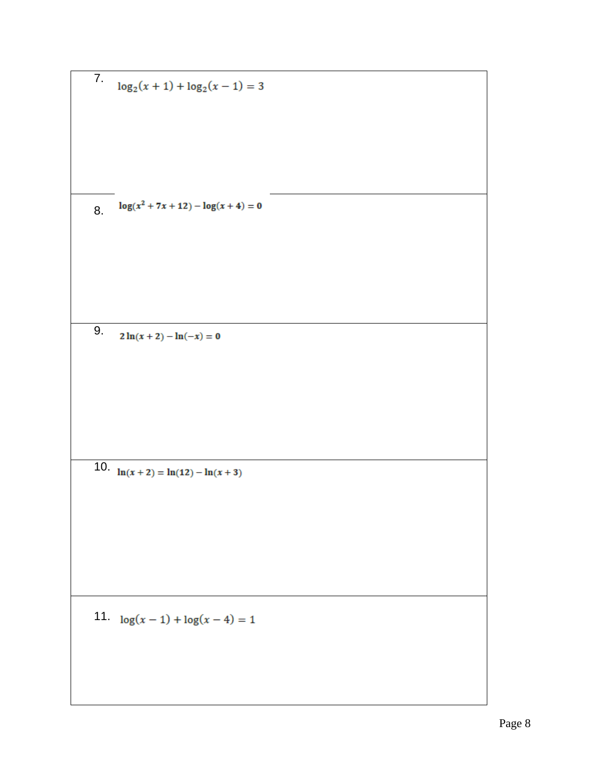7.  $log_2(x + 1) + log_2(x - 1) = 3$  $log(x^2 + 7x + 12) - log(x + 4) = 0$ 8. 9.  $2 \ln(x+2) - \ln(-x) = 0$ 10.  $\ln(x+2) = \ln(12) - \ln(x+3)$ 11.  $log(x-1) + log(x-4) = 1$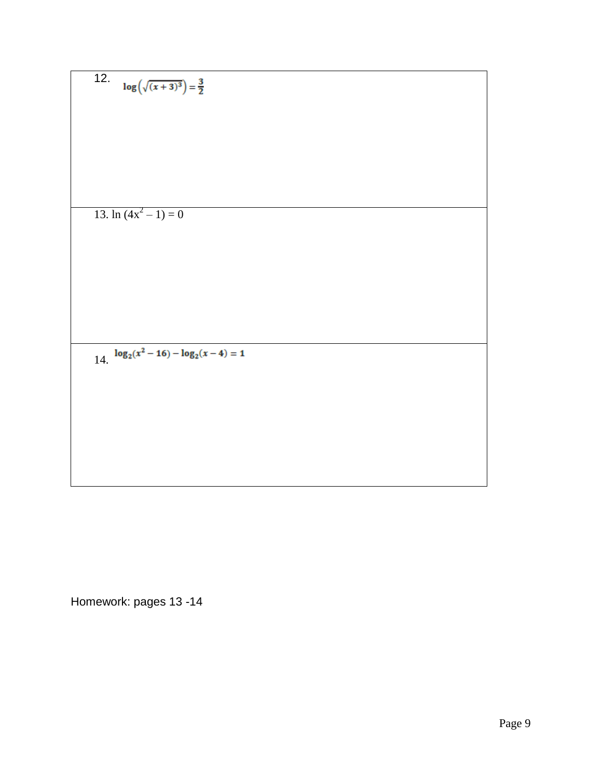12. 
$$
\log(\sqrt{(x+3)^3}) = \frac{3}{2}
$$
  
13. ln (4x<sup>2</sup> - 1) = 0  
14. 
$$
\log_2(x^2 - 16) - \log_2(x - 4) = 1
$$

Homework: pages 13 -14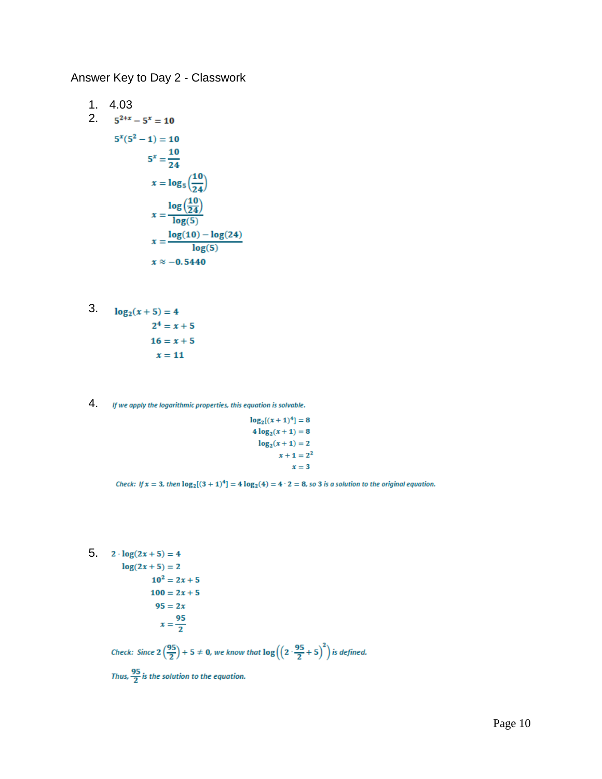Answer Key to Day 2 - Classwork

1. 4.03  
\n2. 
$$
5^{2+x} - 5^x = 10
$$
  
\n $5^x(5^2 - 1) = 10$   
\n $5^x = \frac{10}{24}$   
\n $x = \log_5(\frac{10}{24})$   
\n $x = \frac{\log(\frac{10}{24})}{\log(5)}$   
\n $x = \frac{\log(10) - \log(24)}{\log(5)}$   
\n $x \approx -0.5440$ 

3. 
$$
\log_2(x+5) = 4
$$
  
2<sup>4</sup> = x + 5  
16 = x + 5  
x = 11

4. If we apply the logarithmic properties, this equation is solvable.

$$
log_2[(x + 1)^4] = 8
$$
  
4 log<sub>2</sub>(x + 1) = 8  
log<sub>2</sub>(x + 1) = 2  
x + 1 = 2<sup>2</sup>  
x = 3

Check: If  $x = 3$ , then  $log_2[(3 + 1)^4] = 4 log_2(4) = 4 \cdot 2 = 8$ , so 3 is a solution to the original equation.

5.  $2 \cdot \log(2x + 5) = 4$  $log(2x + 5) = 2$  $10^2 = 2x + 5$ 

$$
100 = 2x + 5
$$

$$
95 = 2x
$$

$$
x = \frac{95}{2}
$$

Check: Since  $2\left(\frac{95}{2}\right) + 5 \neq 0$ , we know that  $\log\left(\left(2\cdot\frac{95}{2} + 5\right)^2\right)$  is defined.

Thus,  $\frac{95}{2}$  is the solution to the equation.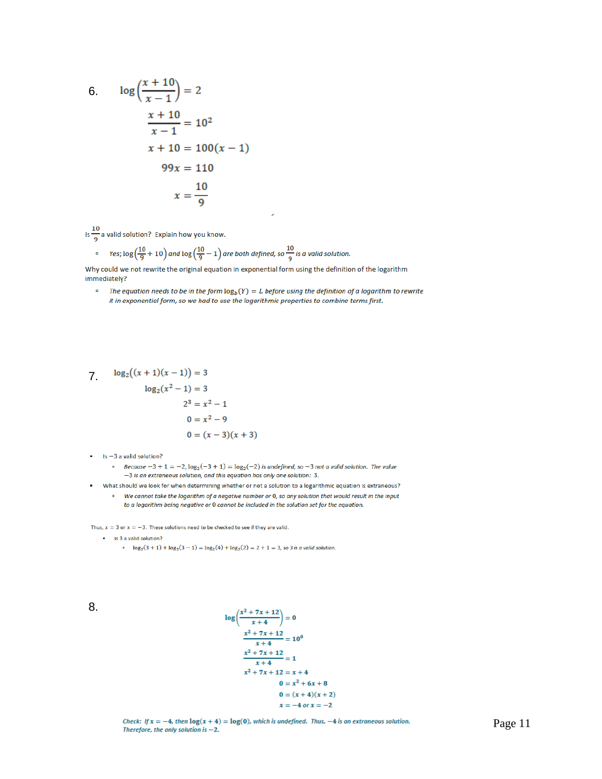6. 
$$
\log \left( \frac{x+10}{x-1} \right) = 2
$$
  
 $\frac{x+10}{x-1} = 10^2$   
 $x + 10 = 100(x - 1)$   
 $99x = 110$   
 $x = \frac{10}{9}$ 

Is  $\frac{10}{9}$  a valid solution? Explain how you know.

$$
\approx \text{Yes; } \log\left(\frac{10}{9} + 10\right) \text{ and } \log\left(\frac{10}{9} - 1\right) \text{ are both defined, so } \frac{10}{9} \text{ is a valid solution}
$$

Why could we not rewrite the original equation in exponential form using the definition of the logarithm immediately?

 $\bar{\mathbf{a}}$ The equation needs to be in the form  $\log_b(Y) = L$  before using the definition of a logarithm to rewrite it in exponential form, so we had to use the logarithmic properties to combine terms first.

 $\mathcal{L}$ 

7. 
$$
\log_2((x+1)(x-1)) = 3
$$

$$
\log_2(x^2 - 1) = 3
$$

$$
2^3 = x^2 - 1
$$

$$
0 = x^2 - 9
$$

$$
0 = (x-3)(x+3)
$$

- Is -3 a valid solution?
	- Because  $-3 + 1 = -2$ ,  $\log_2(-3 + 1) = \log_2(-2)$  is undefined, so  $-3$  not a valid solution. The value -3 is an extraneous solution, and this equation has only one solution: 3.
- What should we look for when determining whether or not a solution to a logarithmic equation is extraneous? <sup>o</sup> We cannot take the logarithm of a negative number or 0, so any solution that would result in the input
	- to a logarithm being negative or 0 cannot be included in the solution set for the equation.

Thus,  $x = 3$  or  $x = -3$ . These solutions need to be checked to see if they are valid.

- Is 3 a valid solution?
	- $log_2(3 + 1) + log_2(3 1) = log_2(4) + log_2(2) = 2 + 1 = 3$ , so 3 is a valid solution.

8.

$$
log\left(\frac{x^2 + 7x + 12}{x + 4}\right) = 0
$$
  

$$
\frac{x^2 + 7x + 12}{x + 4} = 10^0
$$
  

$$
\frac{x^2 + 7x + 12}{x + 4} = 1
$$
  

$$
x^2 + 7x + 12 = x + 4
$$
  

$$
0 = x^2 + 6x + 8
$$
  

$$
0 = (x + 4)(x + 2)
$$
  

$$
x = -4 \text{ or } x = -2
$$

Check: If  $x = -4$ , then  $log(x + 4) = log(0)$ , which is undefined. Thus, -4 is an extraneous solution. Therefore, the only solution is  $-2$ .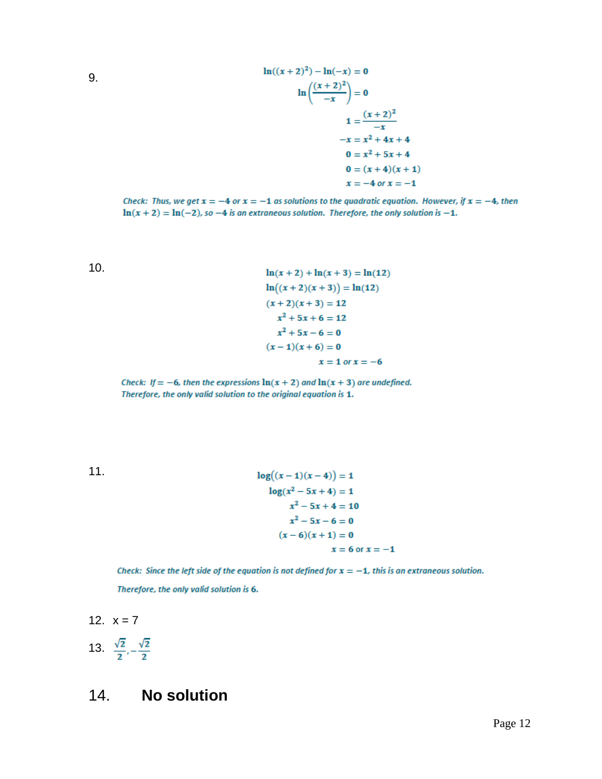9.

$$
\ln((x+2)^2) - \ln(-x) = 0
$$
  
\n
$$
\ln\left(\frac{(x+2)^2}{-x}\right) = 0
$$
  
\n
$$
1 = \frac{(x+2)^2}{-x}
$$
  
\n
$$
-x = x^2 + 4x + 4
$$
  
\n
$$
0 = x^2 + 5x + 4
$$
  
\n
$$
0 = (x+4)(x+1)
$$
  
\n
$$
x = -4 \text{ or } x = -1
$$

Check: Thus, we get  $x = -4$  or  $x = -1$  as solutions to the quadratic equation. However, if  $x = -4$ , then  $\ln(x+2) = \ln(-2)$ , so -4 is an extraneous solution. Therefore, the only solution is -1.

10.

$$
\ln(x+2) + \ln(x+3) = \ln(12)
$$
  
\n
$$
\ln((x+2)(x+3)) = \ln(12)
$$
  
\n
$$
(x+2)(x+3) = 12
$$
  
\n
$$
x^2 + 5x + 6 = 12
$$
  
\n
$$
x^2 + 5x - 6 = 0
$$
  
\n
$$
(x-1)(x+6) = 0
$$
  
\n
$$
x = 1 \text{ or } x = -6
$$

Check: If = -6, then the expressions  $\ln(x + 2)$  and  $\ln(x + 3)$  are undefined. Therefore, the only valid solution to the original equation is 1.

11.

$$
log((x-1)(x-4)) = 1
$$
  
\n
$$
log(x^{2} - 5x + 4) = 1
$$
  
\n
$$
x^{2} - 5x + 4 = 10
$$
  
\n
$$
x^{2} - 5x - 6 = 0
$$
  
\n
$$
(x - 6)(x + 1) = 0
$$
  
\n
$$
x = 6 \text{ or } x = -1
$$

Check: Since the left side of the equation is not defined for  $x = -1$ , this is an extraneous solution. Therefore, the only valid solution is 6.

$$
12. \quad x=7
$$

13. 
$$
\frac{\sqrt{2}}{2}, -\frac{\sqrt{2}}{2}
$$

## 14. **No solution**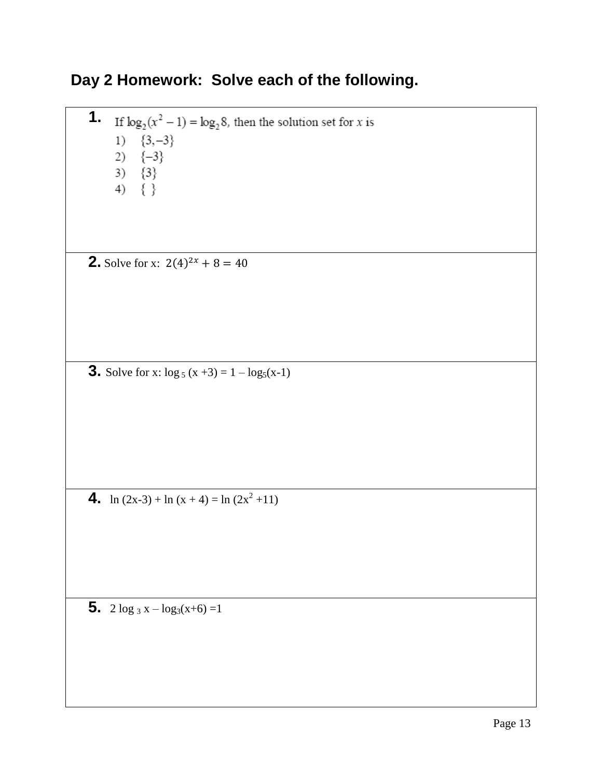# **Day 2 Homework: Solve each of the following.**

**1.** If  $\log_2(x^2 - 1) = \log_2 8$ , then the solution set for x is 1)  ${3, -3}$ 2)  $\{-3\}$ 3)  $\{3\}$ <br>4)  $\{\}$ **2.** Solve for x:  $2(4)^{2x} + 8 = 40$ **3.** Solve for x:  $\log_5(x+3) = 1 - \log_5(x-1)$ 4. ln  $(2x-3) + \ln(x+4) = \ln(2x^2+11)$ 

**5.**  $2 \log_3 x - \log_3(x+6) = 1$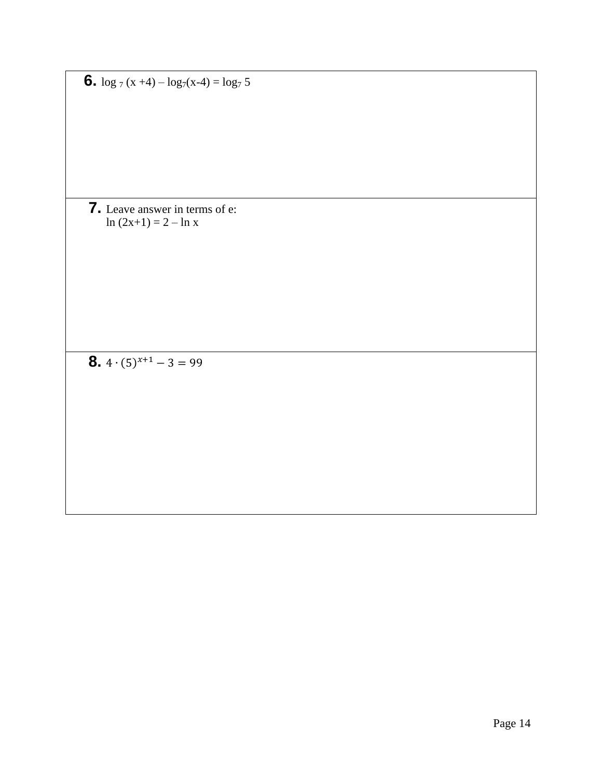**6.**  $\log_7(x+4) - \log_7(x-4) = \log_7 5$ 

**7.** Leave answer in terms of e: ln  $(2x+1) = 2 - \ln x$ 

**8.**  $4 \cdot (5)^{x+1} - 3 = 99$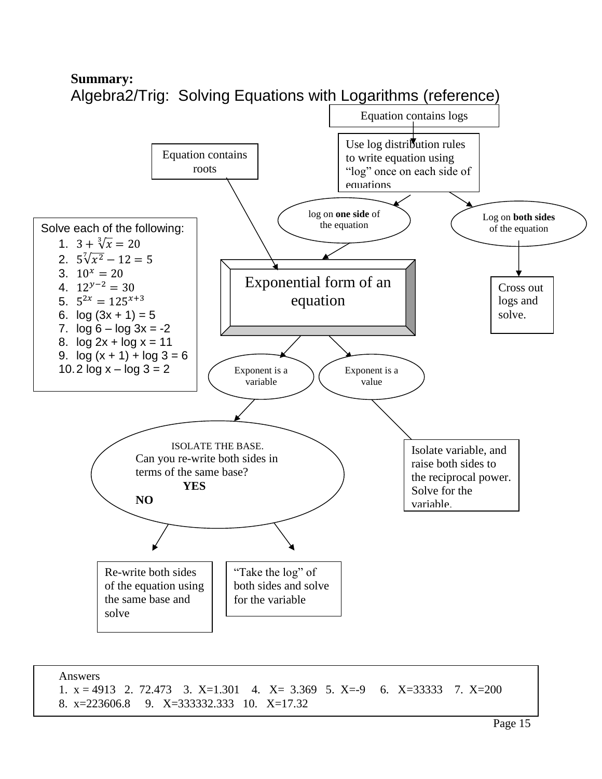

Answers 1.  $x = 4913$  2. 72.473 3.  $X=1.301$  4.  $X= 3.369$  5.  $X=-9$  6.  $X=33333$  7.  $X=200$ 8. x=223606.8 9. X=333332.333 10. X=17.32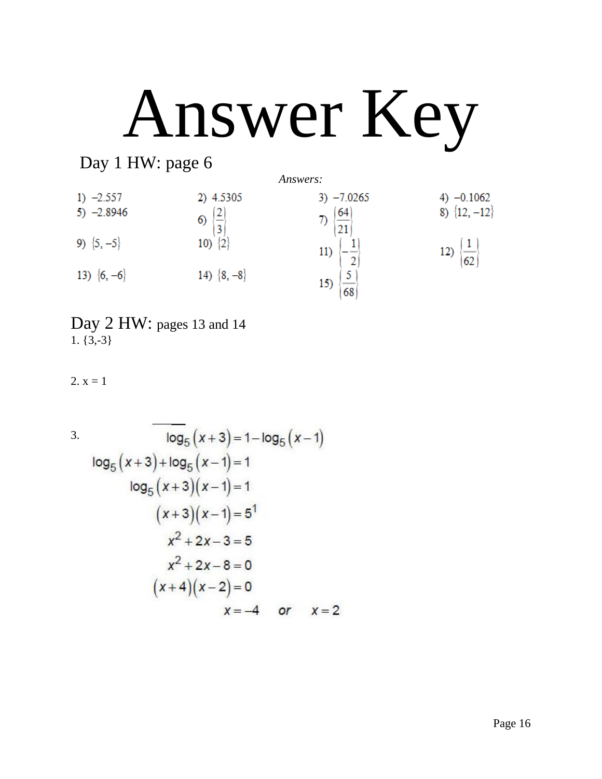# Answer Key

# Day 1 HW: page 6



Day 2 HW: pages 13 and 14  $1. \{3,-3\}$ 

 $2. x = 1$ 

 $\log_5(x+3) = 1 - \log_5(x-1)$ 3.  $log_5(x+3)+log_5(x-1)=1$  $log_5(x+3)(x-1)=1$  $(x+3)(x-1)=5^1$  $x^2 + 2x - 3 = 5$  $x^2 + 2x - 8 = 0$  $(x+4)(x-2)=0$  $x = -4$  or  $x = 2$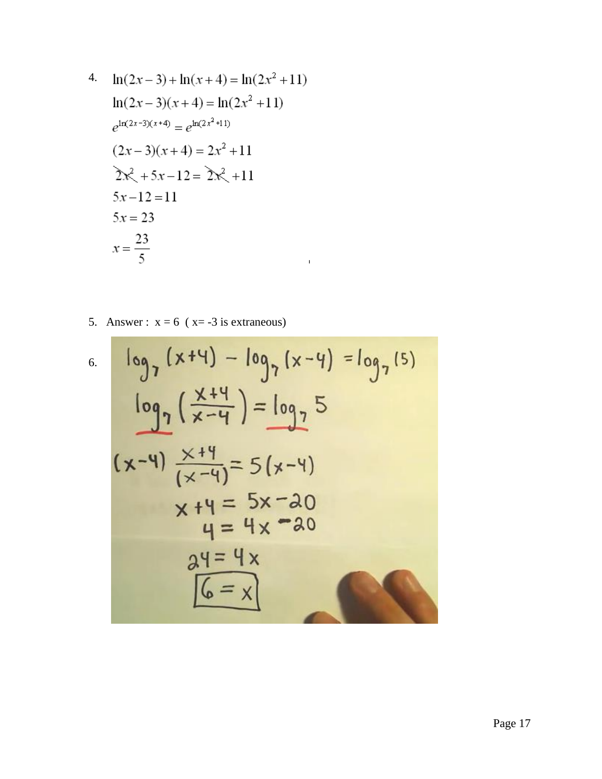4. 
$$
\ln(2x-3) + \ln(x+4) = \ln(2x^2+11)
$$
  
\n $\ln(2x-3)(x+4) = \ln(2x^2+11)$   
\n $e^{\ln(2x-3)(x+4)} = e^{\ln(2x^2+11)}$   
\n $(2x-3)(x+4) = 2x^2+11$   
\n $2x^2 + 5x - 12 = 2x^2 + 11$   
\n $5x - 12 = 11$   
\n $5x = 23$   
\n $x = \frac{23}{5}$ 

5. Answer :  $x = 6$  ( $x = -3$  is extraneous)

T.

6. 
$$
\log_7 (x+4) - \log_7 (x-4) = \log_7 (5)
$$
  
\n $\log_7 (\frac{x+4}{x-4}) = \log_7 5$   
\n $(x-4) \frac{x+4}{(x-4)} = 5(x-4)$   
\n $x+4 = 5x-20$   
\n $4 = 4x - 20$   
\n $24 = 4 \times 20$   
\n $6 = x$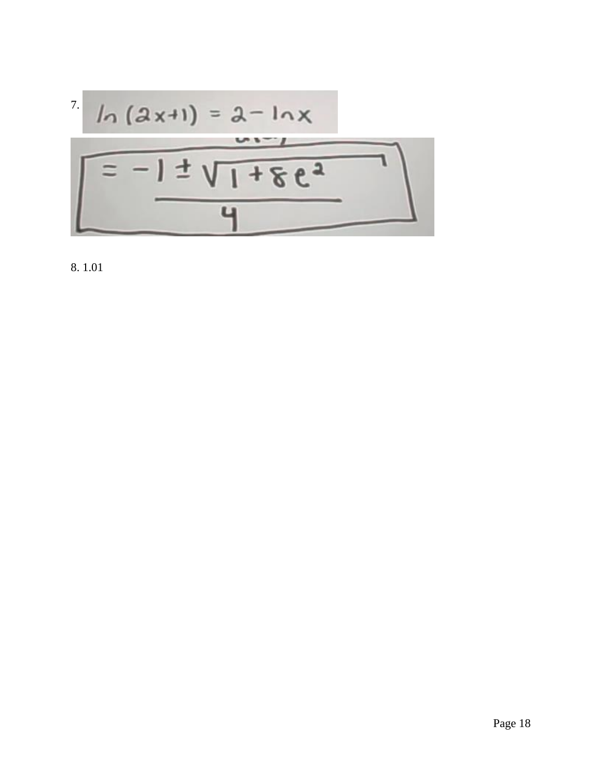$$
ln (2x+1) = 2-lnx
$$
\n
$$
= -1 \pm \sqrt{1+8e^{2}}
$$

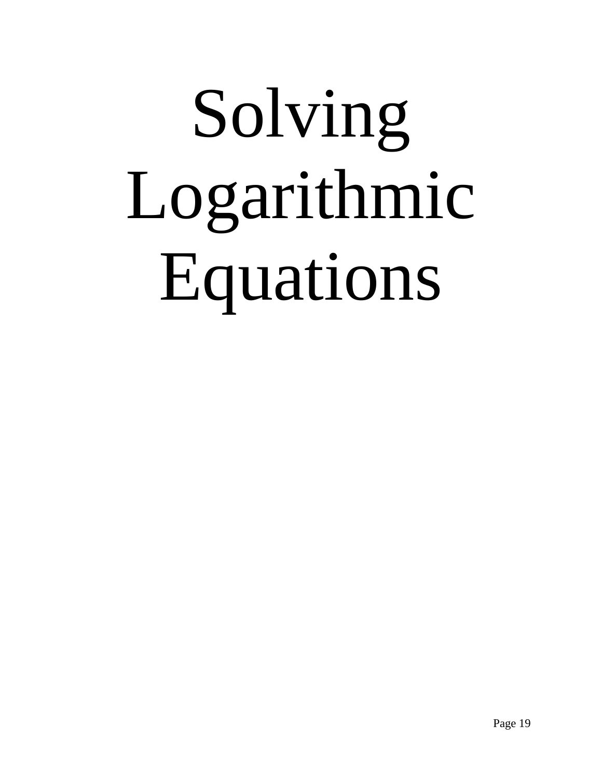# Solving Logarithmic Equations